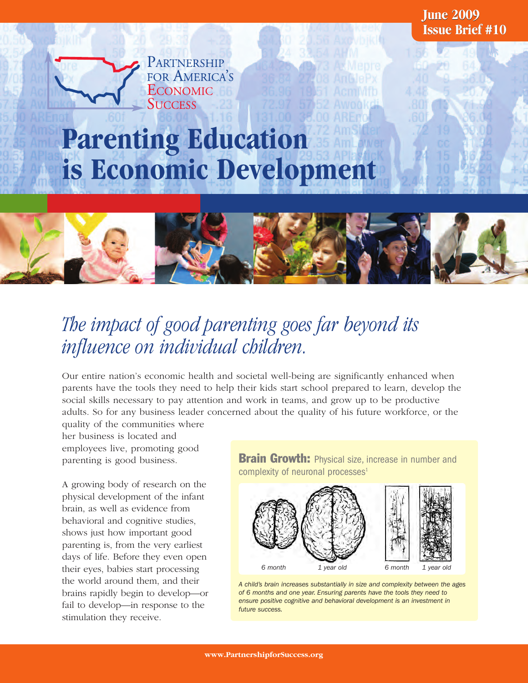**Issue Brief #10 June 2009**

### **Parenting Education is Economic Development**

PARTNERSHIP FOR AMERICA'S **ECONOMIC SUCCESS** 



### *The impact of good parenting goes far beyond its influence on individual children.*

Our entire nation's economic health and societal well-being are significantly enhanced when parents have the tools they need to help their kids start school prepared to learn, develop the social skills necessary to pay attention and work in teams, and grow up to be productive adults. So for any business leader concerned about the quality of his future workforce, or the quality of the communities where

her business is located and employees live, promoting good parenting is good business.

A growing body of research on the physical development of the infant brain, as well as evidence from behavioral and cognitive studies, shows just how important good parenting is, from the very earliest days of life. Before they even open their eyes, babies start processing the world around them, and their brains rapidly begin to develop—or fail to develop—in response to the stimulation they receive.

**Brain Growth:** Physical size, increase in number and complexity of neuronal processes<sup>1</sup>



*A child's brain increases substantially in size and complexity between the ages of 6 months and one year. Ensuring parents have the tools they need to ensure positive cognitive and behavioral development is an investment in future success.*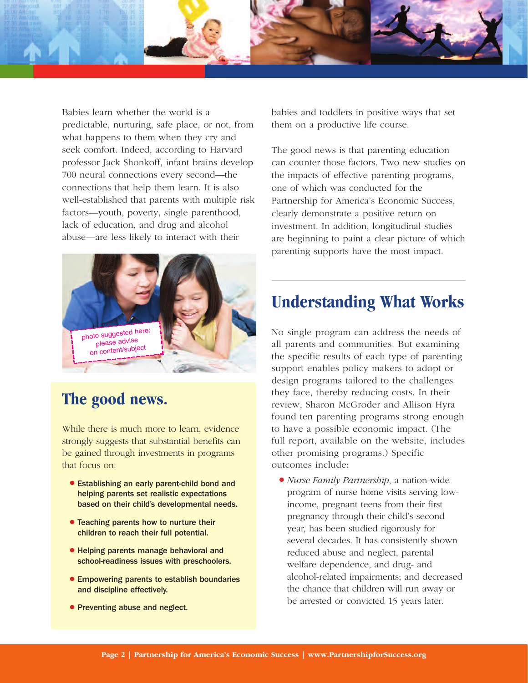

Babies learn whether the world is a predictable, nurturing, safe place, or not, from what happens to them when they cry and seek comfort. Indeed, according to Harvard professor Jack Shonkoff, infant brains develop 700 neural connections every second—the connections that help them learn. It is also well-established that parents with multiple risk factors—youth, poverty, single parenthood, lack of education, and drug and alcohol abuse—are less likely to interact with their



### **The good news.**

While there is much more to learn, evidence strongly suggests that substantial benefits can be gained through investments in programs that focus on:

- Establishing an early parent-child bond and helping parents set realistic expectations based on their child's developmental needs.
- Teaching parents how to nurture their children to reach their full potential.
- Helping parents manage behavioral and school-readiness issues with preschoolers.
- Empowering parents to establish boundaries and discipline effectively.
- Preventing abuse and neglect.

babies and toddlers in positive ways that set them on a productive life course.

The good news is that parenting education can counter those factors. Two new studies on the impacts of effective parenting programs, one of which was conducted for the Partnership for America's Economic Success, clearly demonstrate a positive return on investment. In addition, longitudinal studies are beginning to paint a clear picture of which parenting supports have the most impact.

#### **Understanding What Works**

No single program can address the needs of all parents and communities. But examining the specific results of each type of parenting support enables policy makers to adopt or design programs tailored to the challenges they face, thereby reducing costs. In their review, Sharon McGroder and Allison Hyra found ten parenting programs strong enough to have a possible economic impact. (The full report, available on the website, includes other promising programs.) Specific outcomes include:

● *Nurse Family Partnership*, a nation-wide program of nurse home visits serving lowincome, pregnant teens from their first pregnancy through their child's second year, has been studied rigorously for several decades. It has consistently shown reduced abuse and neglect, parental welfare dependence, and drug- and alcohol-related impairments; and decreased the chance that children will run away or be arrested or convicted 15 years later.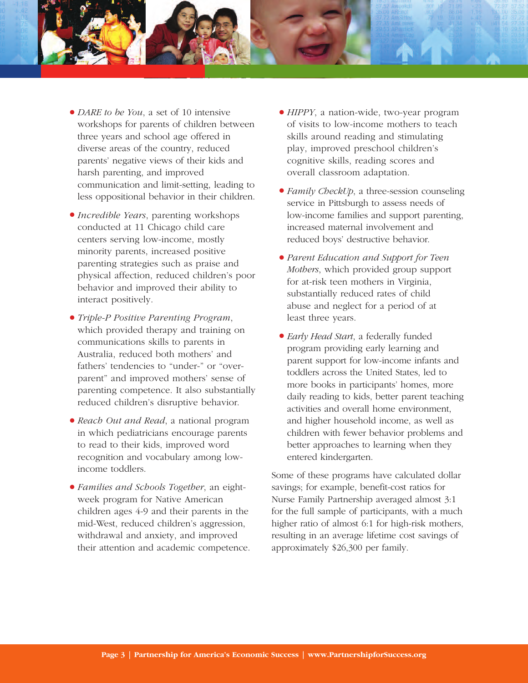

- *DARE to be You*, a set of 10 intensive workshops for parents of children between three years and school age offered in diverse areas of the country, reduced parents' negative views of their kids and harsh parenting, and improved communication and limit-setting, leading to less oppositional behavior in their children.
- *Incredible Years*, parenting workshops conducted at 11 Chicago child care centers serving low-income, mostly minority parents, increased positive parenting strategies such as praise and physical affection, reduced children's poor behavior and improved their ability to interact positively.
- *Triple-P Positive Parenting Program*, which provided therapy and training on communications skills to parents in Australia, reduced both mothers' and fathers' tendencies to "under-" or "overparent" and improved mothers' sense of parenting competence. It also substantially reduced children's disruptive behavior.
- *Reach Out and Read*, a national program in which pediatricians encourage parents to read to their kids, improved word recognition and vocabulary among lowincome toddlers.
- *Families and Schools Together*, an eightweek program for Native American children ages 4-9 and their parents in the mid-West, reduced children's aggression, withdrawal and anxiety, and improved their attention and academic competence.
- *HIPPY*, a nation-wide, two-year program of visits to low-income mothers to teach skills around reading and stimulating play, improved preschool children's cognitive skills, reading scores and overall classroom adaptation.
- *Family CheckUp*, a three-session counseling service in Pittsburgh to assess needs of low-income families and support parenting, increased maternal involvement and reduced boys' destructive behavior.
- *Parent Education and Support for Teen Mothers*, which provided group support for at-risk teen mothers in Virginia, substantially reduced rates of child abuse and neglect for a period of at least three years.
- *Early Head Start*, a federally funded program providing early learning and parent support for low-income infants and toddlers across the United States, led to more books in participants' homes, more daily reading to kids, better parent teaching activities and overall home environment, and higher household income, as well as children with fewer behavior problems and better approaches to learning when they entered kindergarten.

Some of these programs have calculated dollar savings; for example, benefit-cost ratios for Nurse Family Partnership averaged almost 3:1 for the full sample of participants, with a much higher ratio of almost 6:1 for high-risk mothers, resulting in an average lifetime cost savings of approximately \$26,300 per family.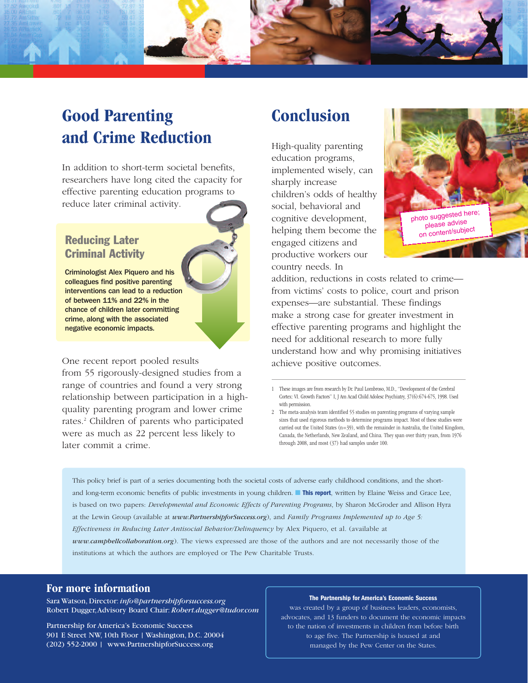

#### **Good Parenting and Crime Reduction**

In addition to short-term societal benefits, researchers have long cited the capacity for effective parenting education programs to reduce later criminal activity.

#### **Reducing Later Criminal Activity**

Criminologist Alex Piquero and his colleagues find positive parenting interventions can lead to a reduction of between 11% and 22% in the chance of children later committing crime, along with the associated negative economic impacts.

One recent report pooled results

from 55 rigorously-designed studies from a range of countries and found a very strong relationship between participation in a highquality parenting program and lower crime rates.2 Children of parents who participated were as much as 22 percent less likely to later commit a crime.

#### **Conclusion**

High-quality parenting education programs, implemented wisely, can sharply increase children's odds of healthy social, behavioral and cognitive development, helping them become the engaged citizens and productive workers our country needs. In



addition, reductions in costs related to crime from victims' costs to police, court and prison expenses—are substantial. These findings make a strong case for greater investment in effective parenting programs and highlight the need for additional research to more fully understand how and why promising initiatives achieve positive outcomes.

This policy brief is part of a series documenting both the societal costs of adverse early childhood conditions, and the shortand long-term economic benefits of public investments in young children. ■ **This report**, written by Elaine Weiss and Grace Lee, is based on two papers: *Developmental and Economic Effects of Parenting Programs*, by Sharon McGroder and Allison Hyra at the Lewin Group (available at *www.PartnershipforSuccess.org*), and *Family Programs Implemented up to Age 5: Effectiveness in Reducing Later Antisocial Behavior/Delinquency* by Alex Piquero, et al. (available at *www.campbellcollaboration.org*). The views expressed are those of the authors and are not necessarily those of the institutions at which the authors are employed or The Pew Charitable Trusts.

#### **For more information**

Sara Watson, Director: *info@partnershipforsuccess.org* Robert Dugger, Advisory Board Chair: *Robert.dugger@tudor.com*

Partnership for America's Economic Success 901 E Street NW, 10th Floor | Washington, D.C. 20004 (202) 552-2000 | www.PartnershipforSuccess.org

#### **The Partnership for America's Economic Success**

was created by a group of business leaders, economists, advocates, and 13 funders to document the economic impacts to the nation of investments in children from before birth to age five. The Partnership is housed at and managed by the Pew Center on the States.

<sup>1</sup> These images are from research by Dr. Paul Lombroso, M.D., "Development of the Cerebral Cortex: VI. Growth Factors" I, J Am Acad Child Adolesc Psychiatry, 37(6):674-675, 1998. Used with permission.

<sup>2</sup> The meta-analysis team identified 55 studies on parenting programs of varying sample sizes that used rigorous methods to determine programs impact. Most of these studies were carried out the United States (n=39), with the remainder in Australia, the United Kingdom, Canada, the Netherlands, New Zealand, and China. They span over thirty years, from 1976 through 2008, and most (37) had samples under 100.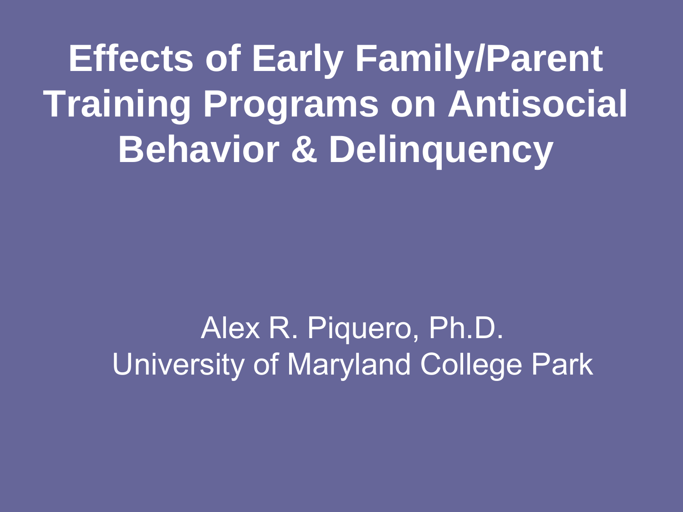**Effects of Early Family/Parent Training Programs on Antisocial Behavior & Delinquency**

> Alex R. Piquero, Ph.D. University of Maryland College Park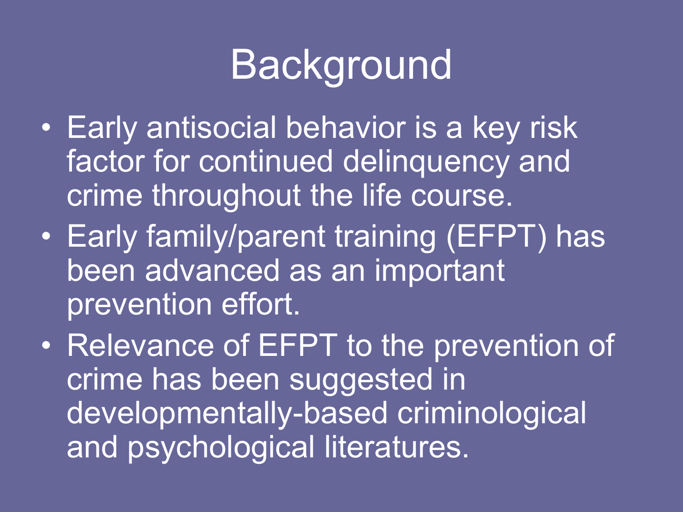## **Background**

- Early antisocial behavior is a key risk factor for continued delinquency and crime throughout the life course.
- Early family/parent training (EFPT) has been advanced as an important prevention effort.
- Relevance of EFPT to the prevention of crime has been suggested in developmentally-based criminological and psychological literatures.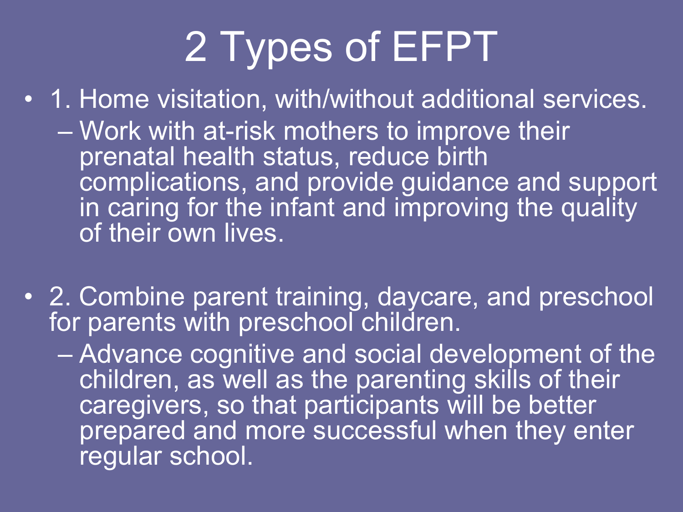# 2 Types of EFPT

• 1. Home visitation, with/without additional services. – Work with at-risk mothers to improve their prenatal health status, reduce birth complications, and provide guidance and support in caring for the infant and improving the quality of their own lives.

- 2. Combine parent training, daycare, and preschool for parents with preschool children.
	- Advance cognitive and social development of the children, as well as the parenting skills of their caregivers, so that participants will be better prepared and more successful when they enter regular school.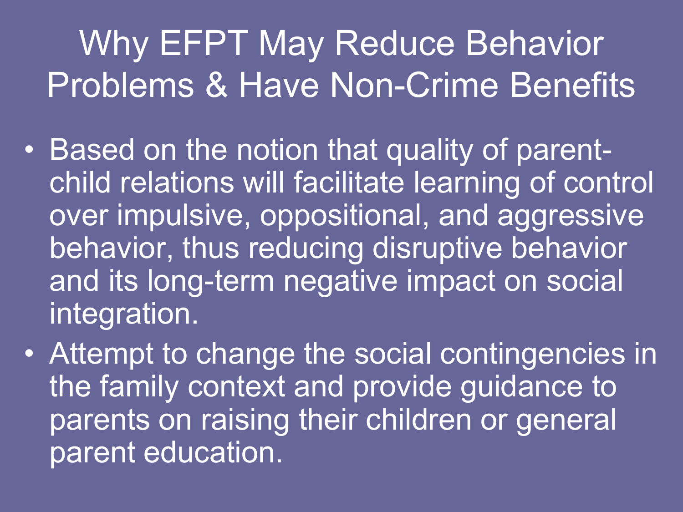### Why EFPT May Reduce Behavior Problems & Have Non-Crime Benefits

- Based on the notion that quality of parentchild relations will facilitate learning of control over impulsive, oppositional, and aggressive behavior, thus reducing disruptive behavior and its long-term negative impact on social integration.
- Attempt to change the social contingencies in the family context and provide guidance to parents on raising their children or general parent education.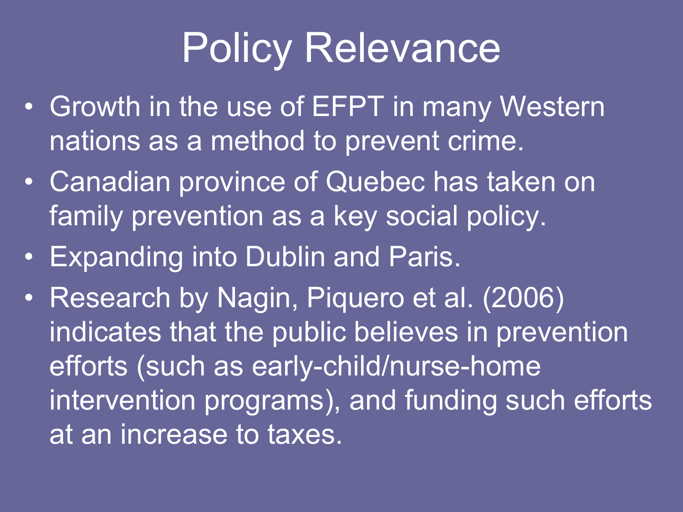# Policy Relevance

- Growth in the use of EFPT in many Western nations as a method to prevent crime.
- Canadian province of Quebec has taken on family prevention as a key social policy.
- Expanding into Dublin and Paris.
- Research by Nagin, Piquero et al. (2006) indicates that the public believes in prevention efforts (such as early-child/nurse-home intervention programs), and funding such efforts at an increase to taxes.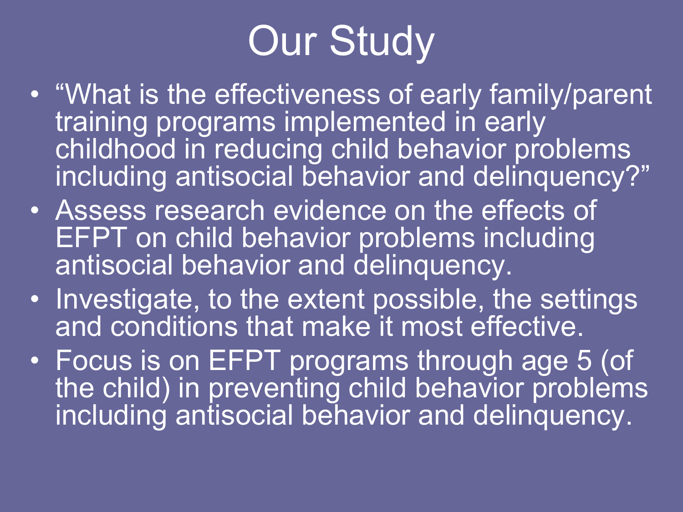# **Our Study**

- "What is the effectiveness of early family/parent training programs implemented in early childhood in reducing child behavior problems including antisocial behavior and delinquency?"
- Assess research evidence on the effects of EFPT on child behavior problems including antisocial behavior and delinquency.
- Investigate, to the extent possible, the settings and conditions that make it most effective.
- Focus is on EFPT programs through age 5 (of the child) in preventing child behavior problems including antisocial behavior and delinquency.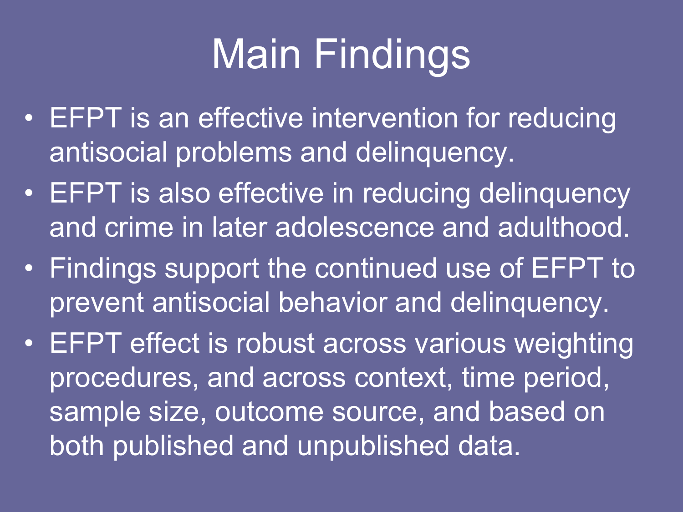# Main Findings

- EFPT is an effective intervention for reducing antisocial problems and delinquency.
- EFPT is also effective in reducing delinquency and crime in later adolescence and adulthood.
- Findings support the continued use of EFPT to prevent antisocial behavior and delinquency.
- EFPT effect is robust across various weighting procedures, and across context, time period, sample size, outcome source, and based on both published and unpublished data.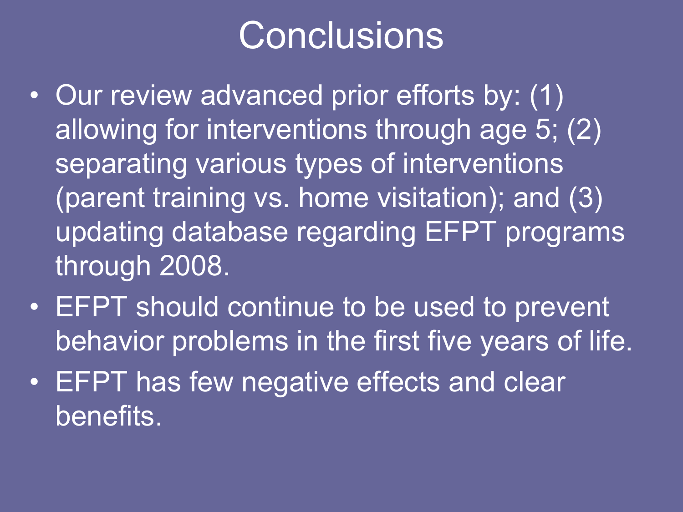### **Conclusions**

- Our review advanced prior efforts by: (1) allowing for interventions through age 5; (2) separating various types of interventions (parent training vs. home visitation); and (3) updating database regarding EFPT programs through 2008.
- EFPT should continue to be used to prevent behavior problems in the first five years of life.
- EFPT has few negative effects and clear benefits.